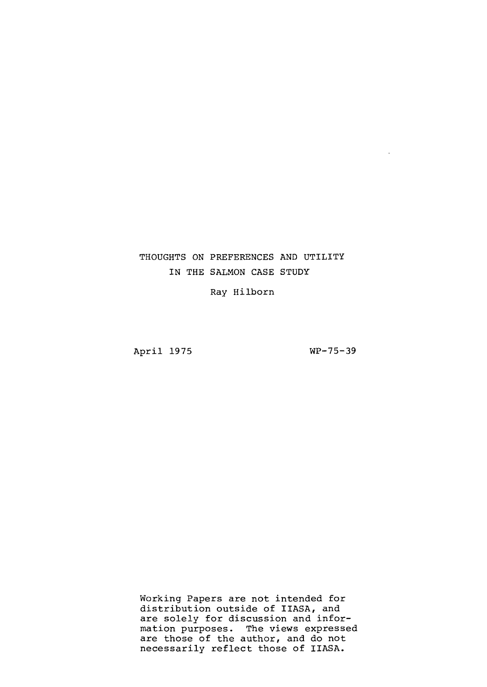# THOUGHTS ON PREFERENCES AND UTILITY IN THE SALMON CASE STUDY

Ray Hilborn

April 1975 WP-75-39

 $\ddot{\phantom{a}}$ 

Working Papers are not intended for distribution outside of IIASA, and are solely for discussion and information purposes. The views expressed are those of the author, and do not necessarily reflect those of IIASA.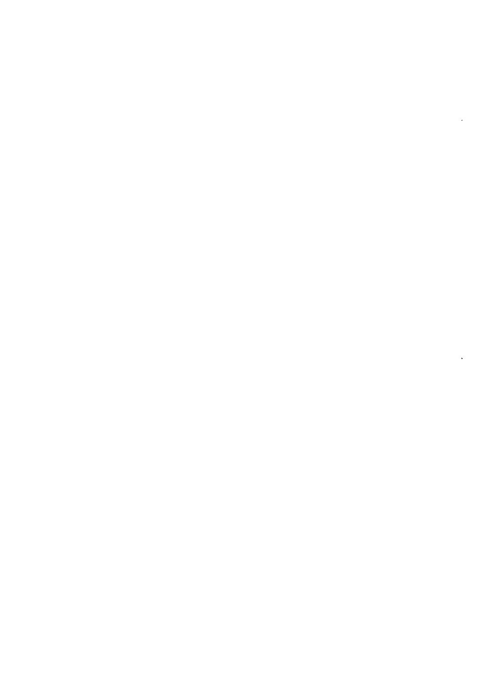$\epsilon$  $\star$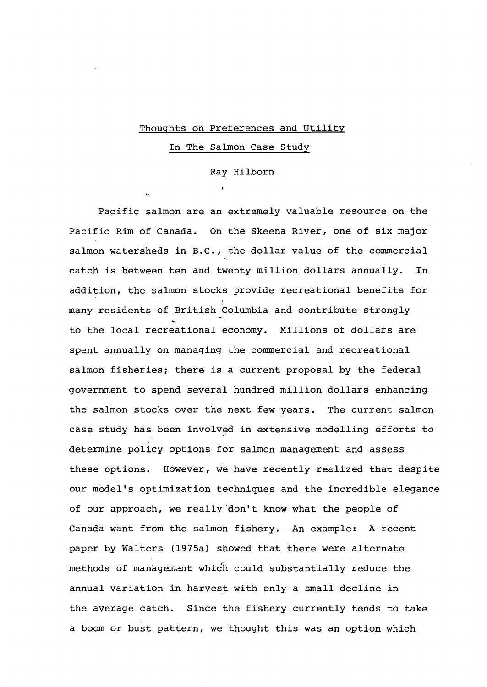## Thoughts on Preferences and Utility

## In The Salmon Case Study

Ray Hilborn

Pacific salmon are an extremely valuable resource on the Pacific Rim of Canada. On the Skeena River, one of six major salmon watersheds in B.C., the dollar value of the commercial catch is between ten and twenty million dollars annually. In addition, the salmon stocks provide recreational benefits for many residents of British Columbia and contribute strongly to the local recreational economy. Millions of dollars are spent annually on managing the commercial and recreational salmon fisheries; there is <sup>a</sup> current proposal by the federal government to spend several hundred million dollars enhancing the salmon stocks over the next few years. The current salmon case study has been involved in extensive modelling efforts to determine policy options for salmon management and assess these options. However, we have recently realized that despite our model's optimization techniques and the incredible elegance of our approach, we really 'don't know what the people of Canada want from the salmon fishery. An example: A recent paper by Walters (1975a) showed that there were alternate methods of management which could substantially reduce the annual variation in harvest with only a small decline in the average catch. Since the fishery currently tends to take <sup>a</sup> boom or bust pattern, we thought this was an option which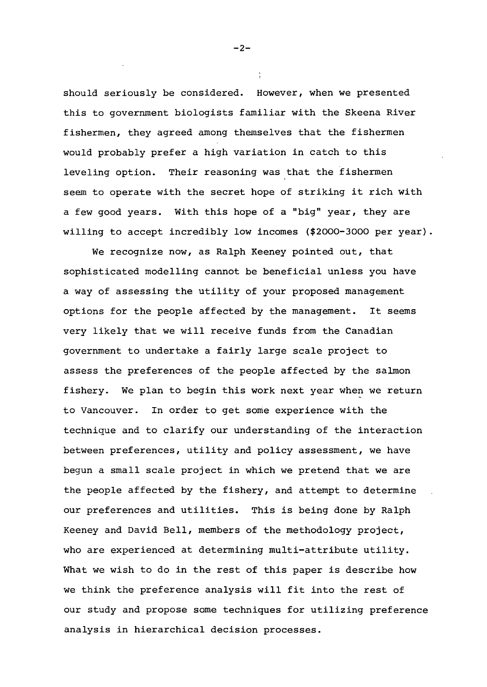should seriously be considered. However, when we presented this to government biologists familiar with the Skeena River fishermen, they agreed among themselves that the fishermen would probably prefer <sup>a</sup> high variation in catch to this leveling option. Their reasoning was that the fishermen seem to operate with the secret hope of striking it rich with <sup>a</sup> few good years. With this hope of <sup>a</sup> "big" year, they are willing to accept incredibly low incomes (\$2000-3000 per year).

We recognize now, as Ralph Keeney pointed out, that sophisticated modelling cannot be beneficial unless you have <sup>a</sup> way of assessing the utility of your proposed management options for the people affected by the management. It seems very likely that we will receive funds from the Canadian government to undertake <sup>a</sup> fairly large scale project to assess the preferences of the people affected by the salmon fishery. We plan to begin this work next year when we return to Vancouver. In order to get some experience with the technique and to clarify our understanding of the interaction between preferences, utility and policy assessment, we have begun <sup>a</sup> small scale project in which we pretend that we are the people affected by the fishery, and attempt to determine our preferences and utilities. This is being done by Ralph Keeney and David Bell, members of the methodology project, who are experienced at determining multi-attribute utility. What we wish to do in the rest of this paper is describe how we think the preference analysis will fit into the rest of our study and propose some techniques for utilizing preference analysis in hierarchical decision processes.

**-2-**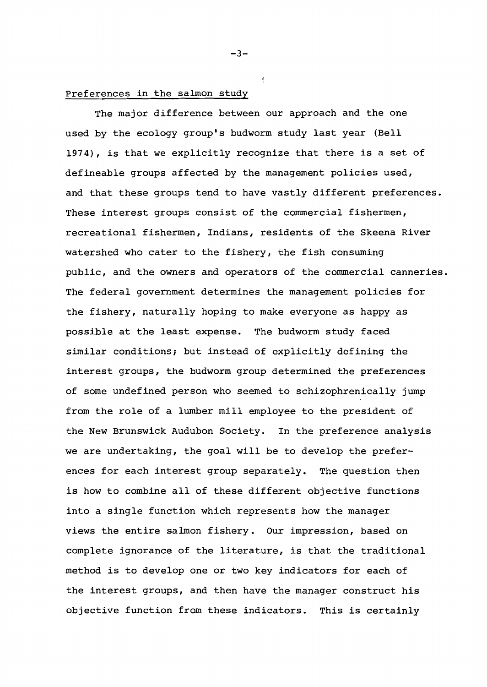### Preferences in the salmon study

The major difference between our approach and the one used by the ecology group's budworm study last year (Bell 1974), is that we explicitly recognize that there is <sup>a</sup> set of defineable groups affected by the management policies used, and that these groups tend to have vastly different preferences. These interest groups consist of the commercial fishermen, recreational fishermen, Indians, residents of the Skeena River watershed who cater to the fishery, the fish consuming public, and the owners and operators of the commercial canneries. The federal government determines the management policies for the fishery, naturally hoping to make everyone as happy as possible at the least expense. The budworm study faced similar conditions; but instead of explicitly defining the interest groups, the budworm group determined the preferences of some undefined person who seemed to schizophrenically jump from the role of a lumber mill employee to the president of the New Brunswick Audubon Society. In the preference analysis we are undertaking, the goal will be to develop the preferences for each interest group separately. The question then is how to combine all of these different objective functions into a single function which represents how the manager views the entire salmon fishery. Our impression, based on complete ignorance of the literature, is that the traditional method is to develop one or two key indicators for each of the interest groups, and then have the manager construct his objective function from these indicators. This is certainly

 $-3-$ 

 $\mathfrak{f}$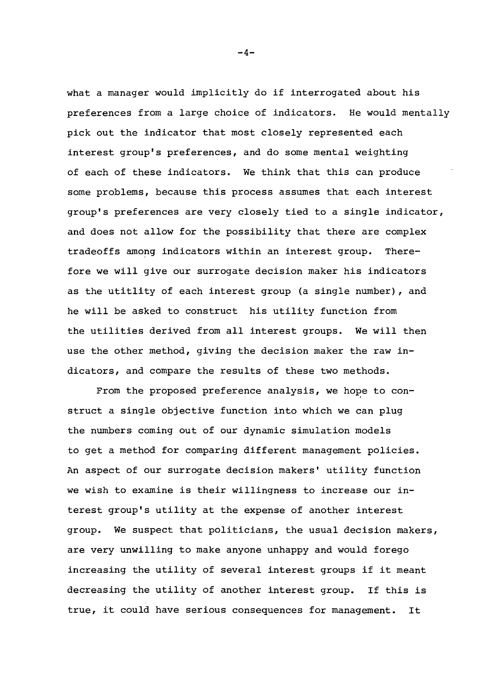what <sup>a</sup> manager would implicitly do if interrogated about his preferences from a large choice of indicators. He would mentally pick out the indicator that most closely represented each interest group's preferences, and do some mental weighting of each of these indicators. We think that this can produce some problems, because this process assumes that each interest group's preferences are very closely tied to <sup>a</sup> single indicator, and does not allow for the possibility that there are complex tradeoffs among indicators within an interest group. Therefore we will give our surrogate decision maker his indicators as the utitlity of each interest group (a single number), and he will be asked to construct his utility function from the utilities derived from all interest groups. We will then use the other method, giving the decision maker the raw indicators, and compare the results of these two methods.

From the proposed preference analysis, we hope to construct <sup>a</sup> single objective function into which we can plug the numbers coming out of our dynamic simulation models to get <sup>a</sup> method for comparing different management policies. An aspect of our surrogate decision makers' utility function we wish to examine is their willingness to increase our interest group's utility at the expense of another interest group. We suspect that politicians, the usual decision makers, are very unwilling to make anyone unhappy and would forego increasing the utility of several interest groups if it meant decreasing the utility of another interest group. If this is true, it could have serious consequences for management. It

 $-4-$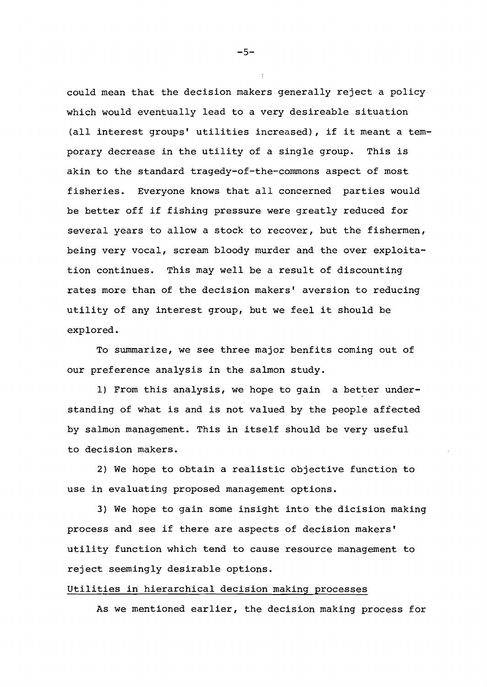could mean that the decision makers generally reject <sup>a</sup> policy which would eventually lead to <sup>a</sup> very desireable situation (all interest groups' utilities increased), if it meant <sup>a</sup> temporary decrease in the utility of <sup>a</sup> single group. This is akin to the standard tragedy-of-the-commons aspect of most fisheries. Everyone knows that all concerned parties would be better off if fishing pressure were greatly reduced for several years to allow a stock to recover, but the fishermen, being very vocal, scream bloody murder and the over exploitation continues. This may well be <sup>a</sup> result of discounting rates more than of the decision makers' aversion to reducing utility of any interest group, but we feel it should be explored.

To summarize, we see three major benfits coming out of our preference analysis in the salmon study.

1) From this analysis, we hope to gain <sup>a</sup> better understanding of what is and is not valued by the people affected by salmon management. This in itself should be very useful to decision makers.

2) We hope to obtain <sup>a</sup> realistic objective function to use in evaluating proposed management options.

3) We hope to gain some insight into the dicision making process and see if there are aspects of decision makers' utility function which tend to cause resource management to reject seemingly desirable options.

# Utilities in hierarchical decision making processes

As we mentioned earlier, the decision making process for

 $-5-$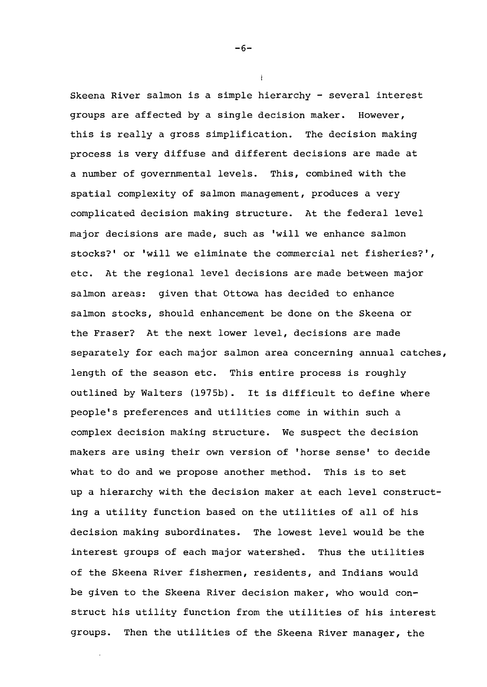Skeena River salmon is a simple hierarchy - several interest groups are affected by a single decision maker. However, this is really <sup>a</sup> gross simplification. The decision making process is very diffuse and different decisions are made at a number of governmental levels. This, combined with the spatial complexity of salmon management, produces <sup>a</sup> very complicated decision making structure. At the federal level major decisions are made, such as 'will we enhance salmon stocks?' or 'will we eliminate the commercial net fisheries?', etc. At the regional level decisions are made between major salmon areas: given that Ottowa has decided to enhance salmon stocks, should enhancement be done on the Skeena or the Fraser? At the next lower level, decisions are made separately for each major salmon area concerning annual catches, length of the season etc. This entire process is roughly outlined by Walters (1975b). It is difficult to define where people's preferences and utilities come in within such <sup>a</sup> complex decision making structure. We suspect the decision makers are using their own version of 'horse sense' to decide what to do and we propose another method. This is to set up <sup>a</sup> hierarchy with the decision maker at each level constructing <sup>a</sup> utility function based on the utilities of all of his decision making subordinates. The lowest level would be the interest groups of each major watershed. Thus the utilities of the Skeena River fishermen, residents, and Indians would be given to the Skeena River decision maker, who would construct his utility function from the utilities of his interest groups. Then the utilities of the Skeena River manager, the

 $-6-$ 

 $\mathbf{I}$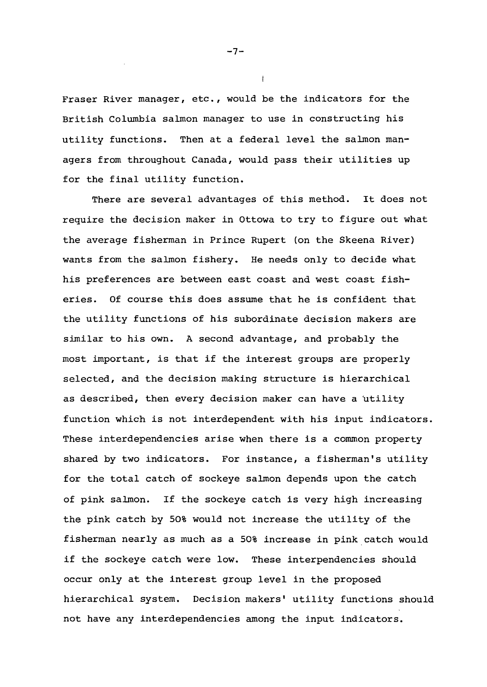Fraser River manager, etc., would be the indicators for the British Columbia salmon manager to use in constructing his utility functions. Then at a federal level the salmon managers from throughout Canada, would pass their utilities up for the final utility function.

There are several advantages of this method. It does not require the decision maker in Ottowa to try to figure out what the average fisherman in Prince Rupert (on the Skeena River) wants from the salmon fishery. He needs only to decide what his preferences are between east coast and west coast fisheries. Of course this does assume that he is confident that the utility functions of his subordinate decision makers are similar to his own. A second advantage, and probably the most important, is that if the interest groups are properly selected, and the decision making structure is hierarchical as described, then every decision maker can have <sup>a</sup> utility function which is not interdependent with his input indicators. These interdependencies arise when there is <sup>a</sup> common property shared by two indicators. For instance, <sup>a</sup> fisherman's utility for the total catch of sockeye salmon depends upon the catch of pink salmon. If the sockeye catch is very high increasing the pink catch by 50% would not increase the utility of the fisherman nearly as much as a 50% increase in pink catch would if the sockeye catch were low. These interpendencies should occur only at the interest group level in the proposed hierarchical system. Decision makers' utility functions should not have any interdependencies among the input indicators.

 $-7-$